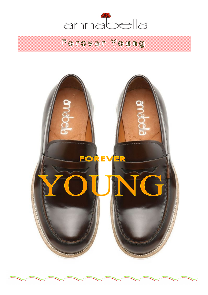

# Forever Young

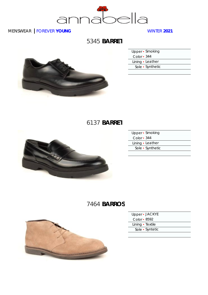

### 5345 **BARRET**



| Upper • Smoking   |  |
|-------------------|--|
| Color $\cdot$ 344 |  |
| Lining · Leather  |  |
| Sole • Synthetic  |  |
|                   |  |

## 6137 **BARRET**



| Upper · Smoking   |  |
|-------------------|--|
| Color $\cdot$ 344 |  |
| Lining • Leather  |  |
| Sole · Synthetic  |  |
|                   |  |

## 7464 **BARROS**



| Upper - JACKYE     |  |
|--------------------|--|
| Color $\cdot$ 8592 |  |
| Lining · Textile   |  |
| Sole • Syntetic    |  |
|                    |  |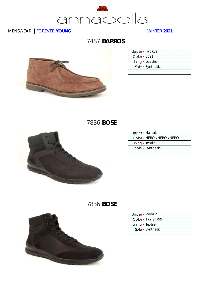

## 7487 **BARROS**



| Upper · Jackye   |  |
|------------------|--|
| Color • 8591     |  |
| Lining · Leather |  |
| Sole • Synthetic |  |
|                  |  |

7836 **BOSE**



| Upper - Nabuk            |  |
|--------------------------|--|
| Color - NERO /NERO /NERO |  |
| Lining · Textile         |  |
| Sole • Synthetic         |  |
|                          |  |

## 7836 **BOSE**



| Upper - Velour     |
|--------------------|
| Color - 172 / 1799 |
| Lining • Textile   |
| Sole · Synthetic   |
|                    |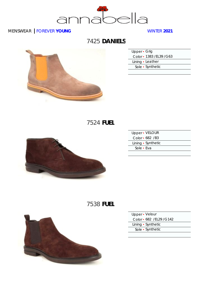

## 7425 **DANIELS**



| Upper • Grig              |  |
|---------------------------|--|
| Color - 1383 / EL39 / G63 |  |
| Lining • Leather          |  |
| Sole • Synthetic          |  |
|                           |  |

7524 **FUEL**



| Upper - VELOUR     |  |
|--------------------|--|
| Color - 682 /B3    |  |
| Lining • Synthetic |  |
| Sole • Eva         |  |
|                    |  |

## 7538 **FUEL**



| Upper · Velour            |  |
|---------------------------|--|
| Color - 682 / EL29 / G142 |  |
| Lining • Synthetic        |  |
| Sole • Synthetic          |  |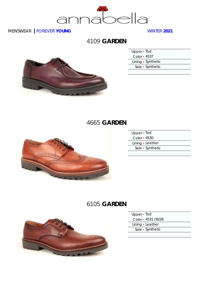

4109 **GARDEN**



| Upper • Tod        |  |
|--------------------|--|
| Color - 4537       |  |
| Lining • Synthetic |  |
| Sole • Synthetic   |  |
|                    |  |

### 4665 **GARDEN**



| Upper - Tod      |  |
|------------------|--|
| Color $-4530$    |  |
| Lining • Leather |  |
| Sole • Synthetic |  |
|                  |  |

## 6105 **GARDEN**



- Upper Tod
- Color 4531 /B226
- Lining Leather
- Sole Synthetic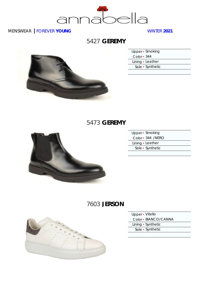

### 5427 **GEREMY**



| Upper • Smoking  |  |
|------------------|--|
| Color - 344      |  |
| Lining · Leather |  |
| Sole • Synthetic |  |
|                  |  |

#### 5473 **GEREMY**



| Upper · Smoking   |  |
|-------------------|--|
| Color - 344 /NERO |  |
| Lining • Leather  |  |
| Sole • Synthetic  |  |
|                   |  |

## 7603 **JERSON**



- Upper Vitello
- Color BIANCO/CANNA
- Lining Synthetic
- Sole Synthetic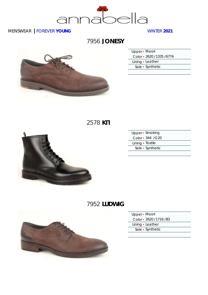

7956 **JONESY**



| Upper · Maori              |  |
|----------------------------|--|
| Color - 2620 / 1335 / 6774 |  |
| Lining • Leather           |  |
| Sole • Synthetic           |  |
|                            |  |

2578 **KIT**



| Upper · Smoking   |  |
|-------------------|--|
| Color - 344 / G20 |  |
| Lining · Textile  |  |
| Sole • Synthetic  |  |
|                   |  |

## 7952 **LUDWIG**



- Upper Maori
- Color 2620 /1716 /B3
- Lining Leather
- Sole Synthetic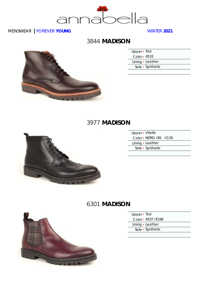

### 3844 **MADISON**



| Upper • Tod        |                  |
|--------------------|------------------|
| Color $\cdot$ 4533 |                  |
|                    | Lining • Leather |
|                    | Sole • Synthetic |
|                    |                  |

#### 3977 **MADISON**



| Upper - Vitello       |  |
|-----------------------|--|
| Color - NERO /B1 /G20 |  |
| Lining • Leather      |  |
| Sole • Synthetic      |  |
|                       |  |

## 6301 **MADISON**



| Upper · Tod |  |
|-------------|--|
|             |  |

Color ▪ 4537 /E166

Lining • Leather

Sole ▪ Synthetic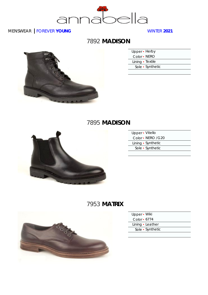

## 7892 **MADISON**



| Upper - Herby    |  |
|------------------|--|
| Color • NERO     |  |
| Lining • Textile |  |
| Sole • Synthetic |  |

### 7895 **MADISON**



| Upper - Vitello    |
|--------------------|
| Color - NERO / G20 |
| Lining • Synthetic |
| Sole • Synthetic   |
|                    |

## 7953 **MATRIX**



| Upper · Wiki     |  |
|------------------|--|
| Color • 6774     |  |
| Lining · Leather |  |
| Sole • Synthetic |  |
|                  |  |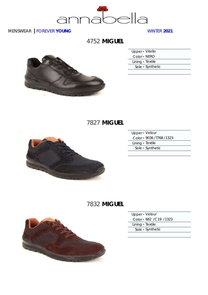

4752 **MIGUEL**



| Upper • Vitello  |                  |  |
|------------------|------------------|--|
| Color - NERO     |                  |  |
| Lining · Textile |                  |  |
|                  | Sole • Synthetic |  |
|                  |                  |  |

## 7827 **MIGUEL**



| Upper - Velour             |  |
|----------------------------|--|
| Color - 9036 / 1768 / 1323 |  |
| Lining · Textile           |  |
| Sole • Synthetic           |  |
|                            |  |

## 7832 **MIGUEL**



| Upper · Velour           |  |
|--------------------------|--|
| Color • 682 / C19 / 1323 |  |
| Lining • Textile         |  |

Sole ▪ Synthetic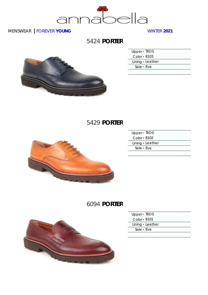

### 5424 **PORTER**



| Upper • TEOS     |  |
|------------------|--|
| Color - 8103     |  |
| Lining · Leather |  |
| Sole - Eva       |  |
|                  |  |

## 5429 **PORTER**



| Upper - TEOS     |  |
|------------------|--|
| Color • 8102     |  |
| Lining · Leather |  |
| Sole • Eva       |  |
|                  |  |

## 6094 **PORTER**



| Upper - TEOS |                  |
|--------------|------------------|
| Color • 8101 |                  |
|              | Lining · Leather |
| Sole • Eva   |                  |
|              |                  |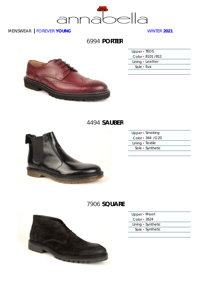

#### 6994 **PORTER**



| Upper • TEOS |                    |
|--------------|--------------------|
|              | Color - 8101 / B12 |
|              | Lining · Leather   |
| Sole • Eva   |                    |
|              |                    |

#### 4494 **SAUBER**



| Upper • Smoking   |  |
|-------------------|--|
| Color - 344 / G20 |  |
| Lining · Textile  |  |
| Sole • Synthetic  |  |
|                   |  |

## 7906 **SQUARE**



| Upper · Maori      |  |
|--------------------|--|
| Color • 2624       |  |
| Lining • Synthetic |  |
| Sole · Synthetic   |  |
|                    |  |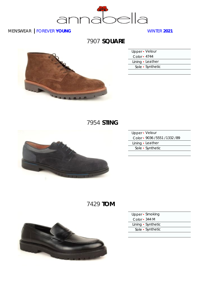

## 7907 **SQUARE**



| Upper • Velour   |  |
|------------------|--|
| Color - 4744     |  |
| Lining • Leather |  |
| Sole • Synthetic |  |
|                  |  |

## 7954 **STING**



| Upper - Velour                  |  |
|---------------------------------|--|
| Color - 9036 / 5551 / 1332 / B9 |  |
| Lining · Leather                |  |
| Sole • Synthetic                |  |
|                                 |  |

## 7429 **TOM**



| Upper • Smoking    |  |
|--------------------|--|
| Color • 344 M      |  |
| Lining • Synthetic |  |
| Sole • Synthetic   |  |
|                    |  |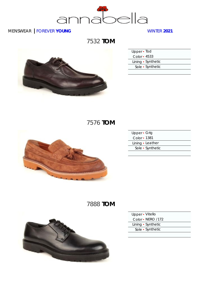

7532 **TOM**



| Upper • Tod        |
|--------------------|
| Color - 4533       |
| Lining • Synthetic |
| Sole • Synthetic   |
|                    |

## 7576 **TOM**



| Upper • Grig     |  |
|------------------|--|
| Color • 1381     |  |
| Lining · Leather |  |
| Sole • Synthetic |  |
|                  |  |

## 7888 **TOM**



| Upper • Vitello    |  |
|--------------------|--|
| Color • NERO /172  |  |
| Lining • Synthetic |  |
| Sole • Synthetic   |  |
|                    |  |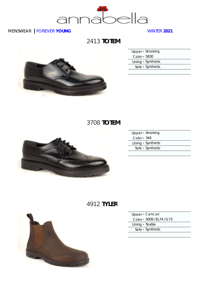

2413 **TOTEM**



| Upper • Smoking    |  |
|--------------------|--|
| Color - 5830       |  |
| Lining • Synthetic |  |
| Sole • Synthetic   |  |
|                    |  |

### 3708 **TOTEM**



|               | Upper • Smoking    |
|---------------|--------------------|
| $Color - 344$ |                    |
|               | Lining • Synthetic |
|               | Sole • Synthetic   |
|               |                    |

## 4912 **TYLER**



| Upper · Cancun            |  |
|---------------------------|--|
| Color - 3009 / EL74 / G73 |  |
| Lining · Textile          |  |
| Sole • Synthetic          |  |
|                           |  |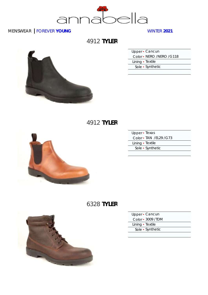

4912 **TYLER**

#### Upper • Cancun Color ▪ NERO /NERO /G118 Lining • Textile Sole ▪ Synthetic

#### 4912 **TYLER**



| Upper - Texas            |  |
|--------------------------|--|
| Color - TAN / EL29 / G73 |  |
| Lining · Textile         |  |
| Sole • Synthetic         |  |
|                          |  |

### 6328 **TYLER**



| Upper • Cancun |  |
|----------------|--|
|----------------|--|

Color ▪ 3009 /TDM

Lining • Textile

Sole ▪ Synthetic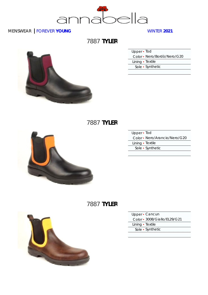

7887 **TYLER**

| Upper · Tod                 |  |
|-----------------------------|--|
| Color - Nero/Bordò/Nero/G20 |  |
| Lining • Textile            |  |
| Sole • Synthetic            |  |

### 7887 **TYLER**



| Upper - Tod                   |  |
|-------------------------------|--|
| Color - Nero/Arancio/Nero/G20 |  |
| Lining · Textile              |  |
| Sole • Synthetic              |  |
|                               |  |

### 7887 **TYLER**



- Upper Cancun
- Color 3008/Giallo/EL29/G21
- Lining Textile
- Sole Synthetic